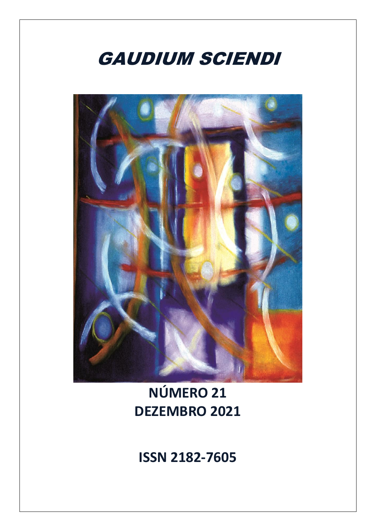

**NÚMERO 21 DEZEMBRO 2021**

**ISSN 2182-7605**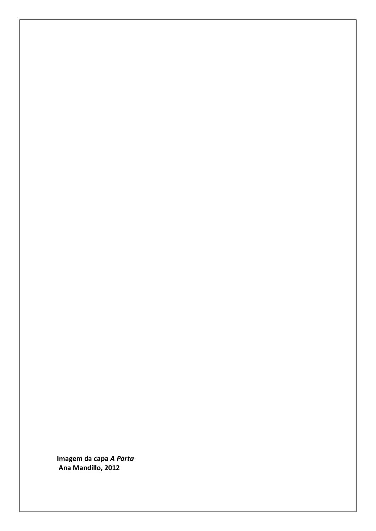**Imagem da capa** *A Porta*  **Ana Mandillo, 2012**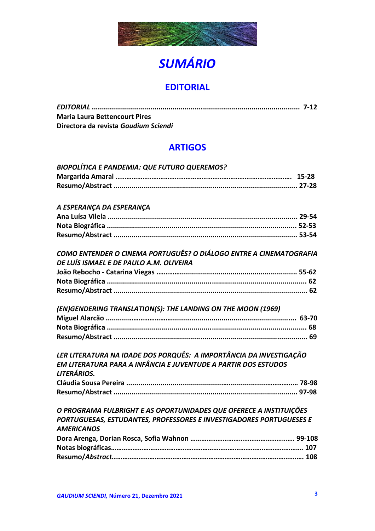

# *SUMÁRIO*

# **EDITORIAL**

| <b>Maria Laura Bettencourt Pires</b> |  |
|--------------------------------------|--|
| Directora da revista Gaudium Sciendi |  |

# **ARTIGOS**

| <b>BIOPOLÍTICA E PANDEMIA: QUE FUTURO QUEREMOS?</b>                                  |  |
|--------------------------------------------------------------------------------------|--|
|                                                                                      |  |
|                                                                                      |  |
|                                                                                      |  |
| A ESPERANÇA DA ESPERANÇA                                                             |  |
|                                                                                      |  |
|                                                                                      |  |
|                                                                                      |  |
| COMO ENTENDER O CINEMA PORTUGUÊS? O DIÁLOGO ENTRE A CINEMATOGRAFIA                   |  |
| DE LUÍS ISMAEL E DE PAULO A.M. OLIVEIRA                                              |  |
|                                                                                      |  |
|                                                                                      |  |
|                                                                                      |  |
|                                                                                      |  |
| (EN)GENDERING TRANSLATION(S): THE LANDING ON THE MOON (1969)                         |  |
|                                                                                      |  |
|                                                                                      |  |
|                                                                                      |  |
|                                                                                      |  |
| LER LITERATURA NA IDADE DOS PORQUÊS: A IMPORTÂNCIA DA INVESTIGAÇÃO                   |  |
| EM LITERATURA PARA A INFÂNCIA E JUVENTUDE A PARTIR DOS ESTUDOS<br><b>LITERÁRIOS.</b> |  |
|                                                                                      |  |
|                                                                                      |  |
|                                                                                      |  |
| O PROGRAMA FULBRIGHT E AS OPORTUNIDADES QUE OFERECE A INSTITUIÇÕES                   |  |
| PORTUGUESAS, ESTUDANTES, PROFESSORES E INVESTIGADORES PORTUGUESES E                  |  |
| <b>AMERICANOS</b>                                                                    |  |
|                                                                                      |  |
|                                                                                      |  |
|                                                                                      |  |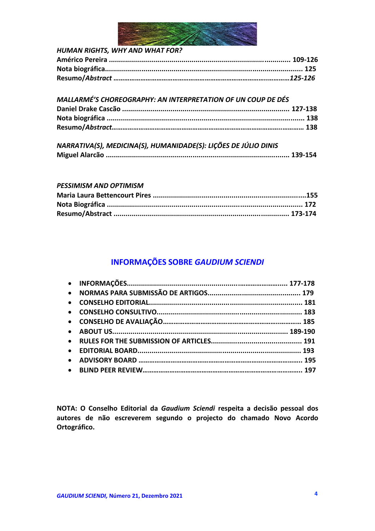

| <b>MALLARMÉ'S CHOREOGRAPHY: AN INTERPRETATION OF UN COUP DE DÉS</b> |  |
|---------------------------------------------------------------------|--|
|                                                                     |  |
|                                                                     |  |
|                                                                     |  |

| NARRATIVA(S), MEDICINA(S), HUMANIDADE(S): LIÇÕES DE JÚLIO DINIS |  |
|-----------------------------------------------------------------|--|
|                                                                 |  |

#### *PESSIMISM AND OPTIMISM*

# **INFORMAÇÕES SOBRE** *GAUDIUM SCIENDI*

**NOTA: O Conselho Editorial da** *Gaudium Sciendi* **respeita a decisão pessoal dos autores de não escreverem segundo o projecto do chamado Novo Acordo Ortográfico.**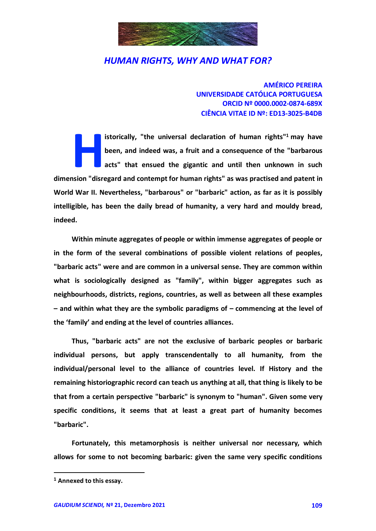

**AMÉRICO PEREIRA UNIVERSIDADE CATÓLICA PORTUGUESA ORCID Nº 0000.0002-0874-689X CIÊNCIA VITAE ID Nº: ED13-3025-B4DB**

**istorically, "the universal declaration of human rights" <sup>1</sup> may have been, and indeed was, a fruit and a consequence of the "barbarous acts" that ensued the gigantic and until then unknown in such distorically, "the universal declaration of human rights"<sup>1</sup> may have been, and indeed was, a fruit and a consequence of the "barbarous acts" that ensued the gigantic and until then unknown in such dimension "disregard an World War II. Nevertheless, "barbarous" or "barbaric" action, as far as it is possibly intelligible, has been the daily bread of humanity, a very hard and mouldy bread, indeed.**

**Within minute aggregates of people or within immense aggregates of people or in the form of the several combinations of possible violent relations of peoples, "barbaric acts" were and are common in a universal sense. They are common within what is sociologically designed as "family", within bigger aggregates such as neighbourhoods, districts, regions, countries, as well as between all these examples – and within what they are the symbolic paradigms of – commencing at the level of the 'family' and ending at the level of countries alliances.**

**Thus, "barbaric acts" are not the exclusive of barbaric peoples or barbaric individual persons, but apply transcendentally to all humanity, from the individual/personal level to the alliance of countries level. If History and the remaining historiographic record can teach us anything at all, that thing is likely to be that from a certain perspective "barbaric" is synonym to "human". Given some very specific conditions, it seems that at least a great part of humanity becomes "barbaric".**

**Fortunately, this metamorphosis is neither universal nor necessary, which allows for some to not becoming barbaric: given the same very specific conditions** 

1

**<sup>1</sup> Annexed to this essay.**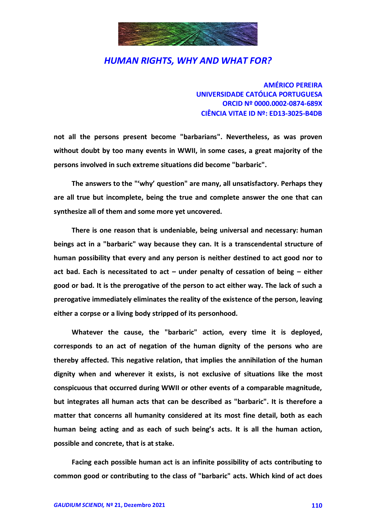

**AMÉRICO PEREIRA UNIVERSIDADE CATÓLICA PORTUGUESA ORCID Nº 0000.0002-0874-689X CIÊNCIA VITAE ID Nº: ED13-3025-B4DB**

**not all the persons present become "barbarians". Nevertheless, as was proven without doubt by too many events in WWII, in some cases, a great majority of the persons involved in such extreme situations did become "barbaric".**

**The answers to the "'why' question" are many, all unsatisfactory. Perhaps they are all true but incomplete, being the true and complete answer the one that can synthesize all of them and some more yet uncovered.**

**There is one reason that is undeniable, being universal and necessary: human beings act in a "barbaric" way because they can. It is a transcendental structure of human possibility that every and any person is neither destined to act good nor to act bad. Each is necessitated to act – under penalty of cessation of being – either good or bad. It is the prerogative of the person to act either way. The lack of such a prerogative immediately eliminates the reality of the existence of the person, leaving either a corpse or a living body stripped of its personhood.**

**Whatever the cause, the "barbaric" action, every time it is deployed, corresponds to an act of negation of the human dignity of the persons who are thereby affected. This negative relation, that implies the annihilation of the human dignity when and wherever it exists, is not exclusive of situations like the most conspicuous that occurred during WWII or other events of a comparable magnitude, but integrates all human acts that can be described as "barbaric". It is therefore a matter that concerns all humanity considered at its most fine detail, both as each human being acting and as each of such being's acts. It is all the human action, possible and concrete, that is at stake.**

**Facing each possible human act is an infinite possibility of acts contributing to common good or contributing to the class of "barbaric" acts. Which kind of act does**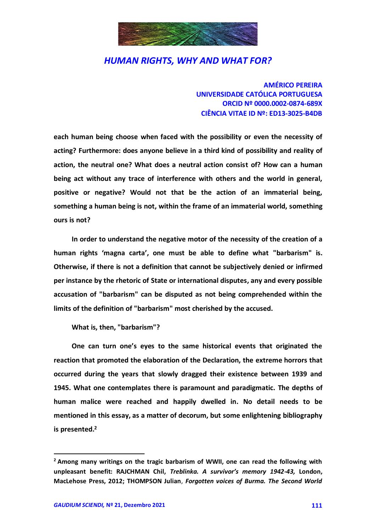

**AMÉRICO PEREIRA UNIVERSIDADE CATÓLICA PORTUGUESA ORCID Nº 0000.0002-0874-689X CIÊNCIA VITAE ID Nº: ED13-3025-B4DB**

**each human being choose when faced with the possibility or even the necessity of acting? Furthermore: does anyone believe in a third kind of possibility and reality of action, the neutral one? What does a neutral action consist of? How can a human being act without any trace of interference with others and the world in general, positive or negative? Would not that be the action of an immaterial being, something a human being is not, within the frame of an immaterial world, something ours is not?**

**In order to understand the negative motor of the necessity of the creation of a human rights 'magna carta', one must be able to define what "barbarism" is. Otherwise, if there is not a definition that cannot be subjectively denied or infirmed per instance by the rhetoric of State or international disputes, any and every possible accusation of "barbarism" can be disputed as not being comprehended within the limits of the definition of "barbarism" most cherished by the accused.**

**What is, then, "barbarism"?**

**One can turn one's eyes to the same historical events that originated the reaction that promoted the elaboration of the Declaration, the extreme horrors that occurred during the years that slowly dragged their existence between 1939 and 1945. What one contemplates there is paramount and paradigmatic. The depths of human malice were reached and happily dwelled in. No detail needs to be mentioned in this essay, as a matter of decorum, but some enlightening bibliography is presented. 2**

-

**<sup>2</sup> Among many writings on the tragic barbarism of WWII, one can read the following with unpleasant benefit: RAJCHMAN Chil,** *Treblinka. A survivor's memory 1942-43,* **London, MacLehose Press, 2012; THOMPSON Julian**, *Forgotten voices of Burma. The Second World*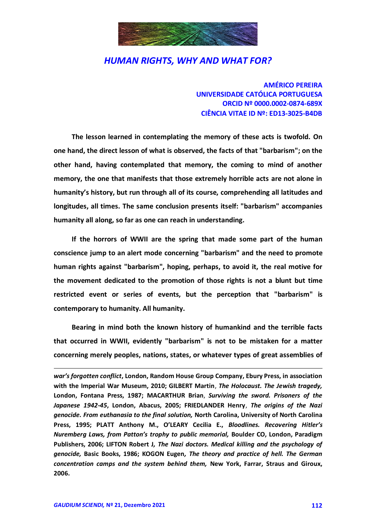

**AMÉRICO PEREIRA UNIVERSIDADE CATÓLICA PORTUGUESA ORCID Nº 0000.0002-0874-689X CIÊNCIA VITAE ID Nº: ED13-3025-B4DB**

**The lesson learned in contemplating the memory of these acts is twofold. On one hand, the direct lesson of what is observed, the facts of that "barbarism"; on the other hand, having contemplated that memory, the coming to mind of another memory, the one that manifests that those extremely horrible acts are not alone in humanity's history, but run through all of its course, comprehending all latitudes and longitudes, all times. The same conclusion presents itself: "barbarism" accompanies humanity all along, so far as one can reach in understanding.**

**If the horrors of WWII are the spring that made some part of the human conscience jump to an alert mode concerning "barbarism" and the need to promote human rights against "barbarism", hoping, perhaps, to avoid it, the real motive for the movement dedicated to the promotion of those rights is not a blunt but time restricted event or series of events, but the perception that "barbarism" is contemporary to humanity. All humanity.**

**Bearing in mind both the known history of humankind and the terrible facts that occurred in WWII, evidently "barbarism" is not to be mistaken for a matter concerning merely peoples, nations, states, or whatever types of great assemblies of** 

*war's forgotten conflict***, London, Random House Group Company, Ebury Press, in association with the Imperial War Museum, 2010; GILBERT Martin**, *The Holocaust. The Jewish tragedy,* **London, Fontana Press, 1987; MACARTHUR Brian**, *Surviving the sword. Prisoners of the Japanese 1942-45***, London, Abacus, 2005; FRIEDLANDER Henry**, *The origins of the Nazi genocide. From euthanasia to the final solution,* **North Carolina, University of North Carolina Press, 1995; PLATT Anthony M., O'LEARY Cecilia E.,** *Bloodlines. Recovering Hitler's Nuremberg Laws, from Patton's trophy to public memorial,* **Boulder CO, London, Paradigm Publishers, 2006; LIFTON Robert J***, The Nazi doctors. Medical killing and the psychology of genocide,* **Basic Books, 1986; KOGON Eugen***, The theory and practice of hell. The German concentration camps and the system behind them,* **New York, Farrar, Straus and Giroux, 2006.**

-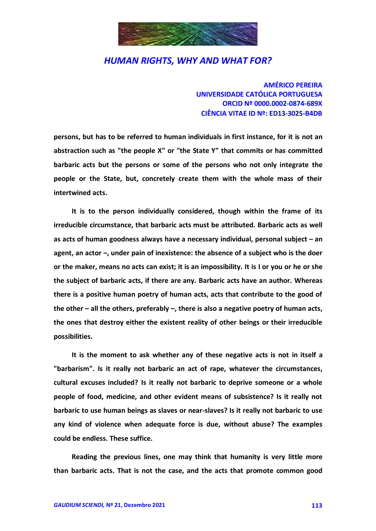

**AMÉRICO PEREIRA UNIVERSIDADE CATÓLICA PORTUGUESA ORCID Nº 0000.0002-0874-689X CIÊNCIA VITAE ID Nº: ED13-3025-B4DB**

**persons, but has to be referred to human individuals in first instance, for it is not an abstraction such as "the people X" or "the State Y" that commits or has committed barbaric acts but the persons or some of the persons who not only integrate the people or the State, but, concretely create them with the whole mass of their intertwined acts.**

**It is to the person individually considered, though within the frame of its irreducible circumstance, that barbaric acts must be attributed. Barbaric acts as well as acts of human goodness always have a necessary individual, personal subject – an agent, an actor –, under pain of inexistence: the absence of a subject who is the doer or the maker, means no acts can exist; it is an impossibility. It is I or you or he or she the subject of barbaric acts, if there are any. Barbaric acts have an author. Whereas there is a positive human poetry of human acts, acts that contribute to the good of the other – all the others, preferably –, there is also a negative poetry of human acts, the ones that destroy either the existent reality of other beings or their irreducible possibilities.**

**It is the moment to ask whether any of these negative acts is not in itself a "barbarism". Is it really not barbaric an act of rape, whatever the circumstances, cultural excuses included? Is it really not barbaric to deprive someone or a whole people of food, medicine, and other evident means of subsistence? Is it really not barbaric to use human beings as slaves or near-slaves? Is it really not barbaric to use any kind of violence when adequate force is due, without abuse? The examples could be endless. These suffice.**

**Reading the previous lines, one may think that humanity is very little more than barbaric acts. That is not the case, and the acts that promote common good**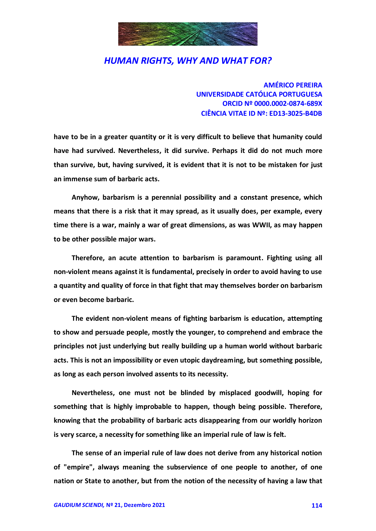

**AMÉRICO PEREIRA UNIVERSIDADE CATÓLICA PORTUGUESA ORCID Nº 0000.0002-0874-689X CIÊNCIA VITAE ID Nº: ED13-3025-B4DB**

**have to be in a greater quantity or it is very difficult to believe that humanity could have had survived. Nevertheless, it did survive. Perhaps it did do not much more than survive, but, having survived, it is evident that it is not to be mistaken for just an immense sum of barbaric acts.**

**Anyhow, barbarism is a perennial possibility and a constant presence, which means that there is a risk that it may spread, as it usually does, per example, every time there is a war, mainly a war of great dimensions, as was WWII, as may happen to be other possible major wars.**

**Therefore, an acute attention to barbarism is paramount. Fighting using all non-violent means against it is fundamental, precisely in order to avoid having to use a quantity and quality of force in that fight that may themselves border on barbarism or even become barbaric.**

**The evident non-violent means of fighting barbarism is education, attempting to show and persuade people, mostly the younger, to comprehend and embrace the principles not just underlying but really building up a human world without barbaric acts. This is not an impossibility or even utopic daydreaming, but something possible, as long as each person involved assents to its necessity.**

**Nevertheless, one must not be blinded by misplaced goodwill, hoping for something that is highly improbable to happen, though being possible. Therefore, knowing that the probability of barbaric acts disappearing from our worldly horizon is very scarce, a necessity for something like an imperial rule of law is felt.**

**The sense of an imperial rule of law does not derive from any historical notion of "empire", always meaning the subservience of one people to another, of one nation or State to another, but from the notion of the necessity of having a law that**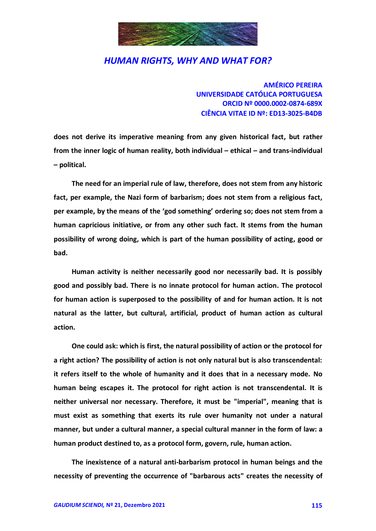

**AMÉRICO PEREIRA UNIVERSIDADE CATÓLICA PORTUGUESA ORCID Nº 0000.0002-0874-689X CIÊNCIA VITAE ID Nº: ED13-3025-B4DB**

**does not derive its imperative meaning from any given historical fact, but rather from the inner logic of human reality, both individual – ethical – and trans-individual – political.**

**The need for an imperial rule of law, therefore, does not stem from any historic fact, per example, the Nazi form of barbarism; does not stem from a religious fact, per example, by the means of the 'god something' ordering so; does not stem from a human capricious initiative, or from any other such fact. It stems from the human possibility of wrong doing, which is part of the human possibility of acting, good or bad.**

**Human activity is neither necessarily good nor necessarily bad. It is possibly good and possibly bad. There is no innate protocol for human action. The protocol for human action is superposed to the possibility of and for human action. It is not natural as the latter, but cultural, artificial, product of human action as cultural action.**

**One could ask: which is first, the natural possibility of action or the protocol for a right action? The possibility of action is not only natural but is also transcendental: it refers itself to the whole of humanity and it does that in a necessary mode. No human being escapes it. The protocol for right action is not transcendental. It is neither universal nor necessary. Therefore, it must be "imperial", meaning that is must exist as something that exerts its rule over humanity not under a natural manner, but under a cultural manner, a special cultural manner in the form of law: a human product destined to, as a protocol form, govern, rule, human action.**

**The inexistence of a natural anti-barbarism protocol in human beings and the necessity of preventing the occurrence of "barbarous acts" creates the necessity of**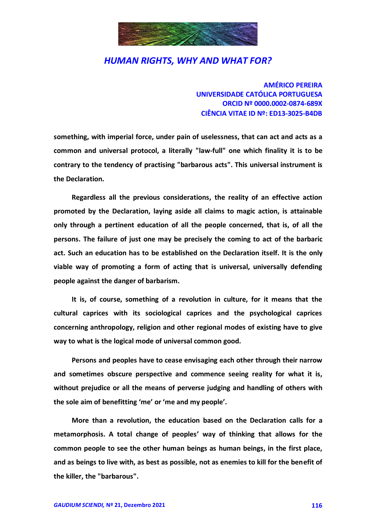

**AMÉRICO PEREIRA UNIVERSIDADE CATÓLICA PORTUGUESA ORCID Nº 0000.0002-0874-689X CIÊNCIA VITAE ID Nº: ED13-3025-B4DB**

**something, with imperial force, under pain of uselessness, that can act and acts as a common and universal protocol, a literally "law-full" one which finality it is to be contrary to the tendency of practising "barbarous acts". This universal instrument is the Declaration.**

**Regardless all the previous considerations, the reality of an effective action promoted by the Declaration, laying aside all claims to magic action, is attainable only through a pertinent education of all the people concerned, that is, of all the persons. The failure of just one may be precisely the coming to act of the barbaric act. Such an education has to be established on the Declaration itself. It is the only viable way of promoting a form of acting that is universal, universally defending people against the danger of barbarism.**

**It is, of course, something of a revolution in culture, for it means that the cultural caprices with its sociological caprices and the psychological caprices concerning anthropology, religion and other regional modes of existing have to give way to what is the logical mode of universal common good.**

**Persons and peoples have to cease envisaging each other through their narrow and sometimes obscure perspective and commence seeing reality for what it is, without prejudice or all the means of perverse judging and handling of others with the sole aim of benefitting 'me' or 'me and my people'.**

**More than a revolution, the education based on the Declaration calls for a metamorphosis. A total change of peoples' way of thinking that allows for the common people to see the other human beings as human beings, in the first place, and as beings to live with, as best as possible, not as enemies to kill for the benefit of the killer, the "barbarous".**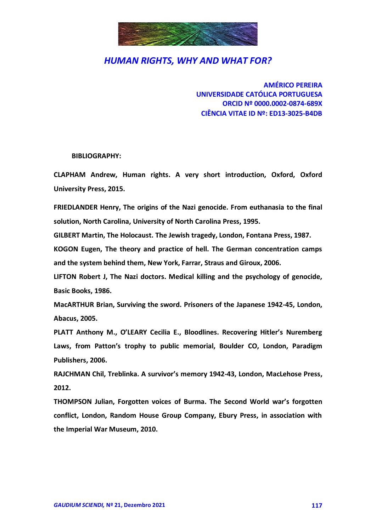

**AMÉRICO PEREIRA UNIVERSIDADE CATÓLICA PORTUGUESA ORCID Nº 0000.0002-0874-689X CIÊNCIA VITAE ID Nº: ED13-3025-B4DB**

**BIBLIOGRAPHY:**

**CLAPHAM Andrew, Human rights. A very short introduction, Oxford, Oxford University Press, 2015.**

**FRIEDLANDER Henry, The origins of the Nazi genocide. From euthanasia to the final solution, North Carolina, University of North Carolina Press, 1995.**

**GILBERT Martin, The Holocaust. The Jewish tragedy, London, Fontana Press, 1987.**

**KOGON Eugen, The theory and practice of hell. The German concentration camps and the system behind them, New York, Farrar, Straus and Giroux, 2006.**

**LIFTON Robert J, The Nazi doctors. Medical killing and the psychology of genocide, Basic Books, 1986.**

**MacARTHUR Brian, Surviving the sword. Prisoners of the Japanese 1942-45, London, Abacus, 2005.**

**PLATT Anthony M., O'LEARY Cecilia E., Bloodlines. Recovering Hitler's Nuremberg Laws, from Patton's trophy to public memorial, Boulder CO, London, Paradigm Publishers, 2006.**

**RAJCHMAN Chil, Treblinka. A survivor's memory 1942-43, London, MacLehose Press, 2012.**

**THOMPSON Julian, Forgotten voices of Burma. The Second World war's forgotten conflict, London, Random House Group Company, Ebury Press, in association with the Imperial War Museum, 2010.**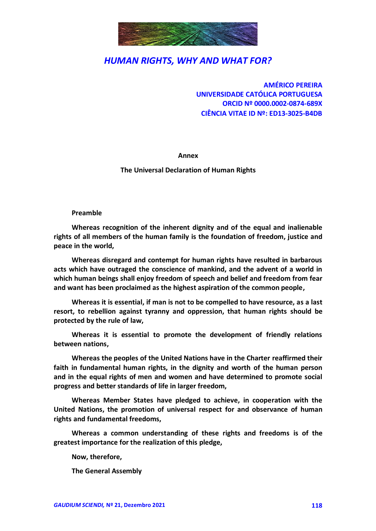

**AMÉRICO PEREIRA UNIVERSIDADE CATÓLICA PORTUGUESA ORCID Nº 0000.0002-0874-689X CIÊNCIA VITAE ID Nº: ED13-3025-B4DB**

**Annex**

**The Universal Declaration of Human Rights**

**Preamble**

**Whereas recognition of the inherent dignity and of the equal and inalienable rights of all members of the human family is the foundation of freedom, justice and peace in the world,**

**Whereas disregard and contempt for human rights have resulted in barbarous acts which have outraged the conscience of mankind, and the advent of a world in which human beings shall enjoy freedom of speech and belief and freedom from fear and want has been proclaimed as the highest aspiration of the common people,** 

**Whereas it is essential, if man is not to be compelled to have resource, as a last resort, to rebellion against tyranny and oppression, that human rights should be protected by the rule of law,**

**Whereas it is essential to promote the development of friendly relations between nations,**

**Whereas the peoples of the United Nations have in the Charter reaffirmed their faith in fundamental human rights, in the dignity and worth of the human person and in the equal rights of men and women and have determined to promote social progress and better standards of life in larger freedom,**

**Whereas Member States have pledged to achieve, in cooperation with the United Nations, the promotion of universal respect for and observance of human rights and fundamental freedoms,**

**Whereas a common understanding of these rights and freedoms is of the greatest importance for the realization of this pledge,**

**Now, therefore,**

**The General Assembly**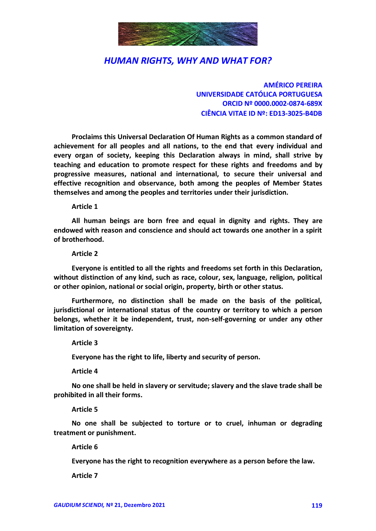

**AMÉRICO PEREIRA UNIVERSIDADE CATÓLICA PORTUGUESA ORCID Nº 0000.0002-0874-689X CIÊNCIA VITAE ID Nº: ED13-3025-B4DB**

**Proclaims this Universal Declaration Of Human Rights as a common standard of achievement for all peoples and all nations, to the end that every individual and every organ of society, keeping this Declaration always in mind, shall strive by teaching and education to promote respect for these rights and freedoms and by progressive measures, national and international, to secure their universal and effective recognition and observance, both among the peoples of Member States themselves and among the peoples and territories under their jurisdiction.**

#### **Article 1**

**All human beings are born free and equal in dignity and rights. They are endowed with reason and conscience and should act towards one another in a spirit of brotherhood.**

#### **Article 2**

**Everyone is entitled to all the rights and freedoms set forth in this Declaration, without distinction of any kind, such as race, colour, sex, language, religion, political or other opinion, national or social origin, property, birth or other status.**

**Furthermore, no distinction shall be made on the basis of the political, jurisdictional or international status of the country or territory to which a person belongs, whether it be independent, trust, non-self-governing or under any other limitation of sovereignty.**

**Article 3**

**Everyone has the right to life, liberty and security of person.**

**Article 4**

**No one shall be held in slavery or servitude; slavery and the slave trade shall be prohibited in all their forms.**

**Article 5**

**No one shall be subjected to torture or to cruel, inhuman or degrading treatment or punishment.**

**Article 6**

**Everyone has the right to recognition everywhere as a person before the law.**

**Article 7**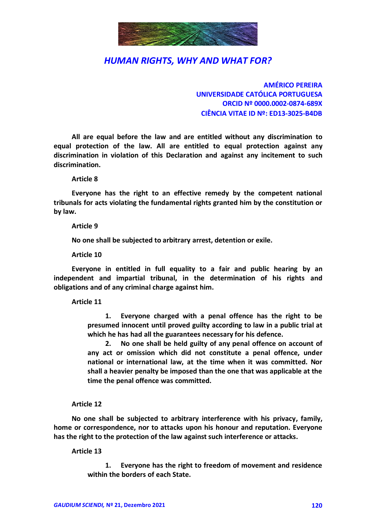

**AMÉRICO PEREIRA UNIVERSIDADE CATÓLICA PORTUGUESA ORCID Nº 0000.0002-0874-689X CIÊNCIA VITAE ID Nº: ED13-3025-B4DB**

**All are equal before the law and are entitled without any discrimination to equal protection of the law. All are entitled to equal protection against any discrimination in violation of this Declaration and against any incitement to such discrimination.**

**Article 8**

**Everyone has the right to an effective remedy by the competent national tribunals for acts violating the fundamental rights granted him by the constitution or by law.**

**Article 9**

**No one shall be subjected to arbitrary arrest, detention or exile.**

**Article 10**

**Everyone in entitled in full equality to a fair and public hearing by an independent and impartial tribunal, in the determination of his rights and obligations and of any criminal charge against him.**

**Article 11**

**1. Everyone charged with a penal offence has the right to be presumed innocent until proved guilty according to law in a public trial at which he has had all the guarantees necessary for his defence.**

**2. No one shall be held guilty of any penal offence on account of any act or omission which did not constitute a penal offence, under national or international law, at the time when it was committed. Nor shall a heavier penalty be imposed than the one that was applicable at the time the penal offence was committed.**

#### **Article 12**

**No one shall be subjected to arbitrary interference with his privacy, family, home or correspondence, nor to attacks upon his honour and reputation. Everyone has the right to the protection of the law against such interference or attacks.**

**Article 13**

**1. Everyone has the right to freedom of movement and residence within the borders of each State.**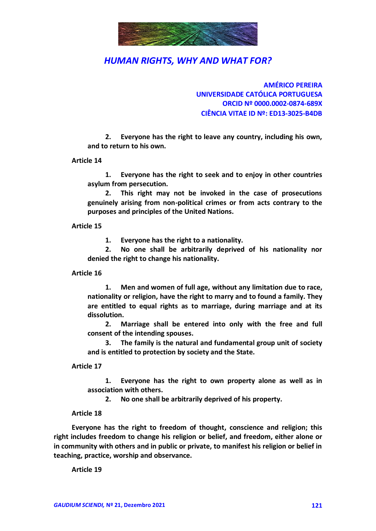

**AMÉRICO PEREIRA UNIVERSIDADE CATÓLICA PORTUGUESA ORCID Nº 0000.0002-0874-689X CIÊNCIA VITAE ID Nº: ED13-3025-B4DB**

**2. Everyone has the right to leave any country, including his own, and to return to his own.**

#### **Article 14**

**1. Everyone has the right to seek and to enjoy in other countries asylum from persecution.**

**2. This right may not be invoked in the case of prosecutions genuinely arising from non-political crimes or from acts contrary to the purposes and principles of the United Nations.**

#### **Article 15**

**1. Everyone has the right to a nationality.**

**2. No one shall be arbitrarily deprived of his nationality nor denied the right to change his nationality.**

#### **Article 16**

**1. Men and women of full age, without any limitation due to race, nationality or religion, have the right to marry and to found a family. They are entitled to equal rights as to marriage, during marriage and at its dissolution.**

**2. Marriage shall be entered into only with the free and full consent of the intending spouses.**

**3. The family is the natural and fundamental group unit of society and is entitled to protection by society and the State.**

#### **Article 17**

**1. Everyone has the right to own property alone as well as in association with others.**

**2. No one shall be arbitrarily deprived of his property.**

#### **Article 18**

**Everyone has the right to freedom of thought, conscience and religion; this right includes freedom to change his religion or belief, and freedom, either alone or in community with others and in public or private, to manifest his religion or belief in teaching, practice, worship and observance.**

**Article 19**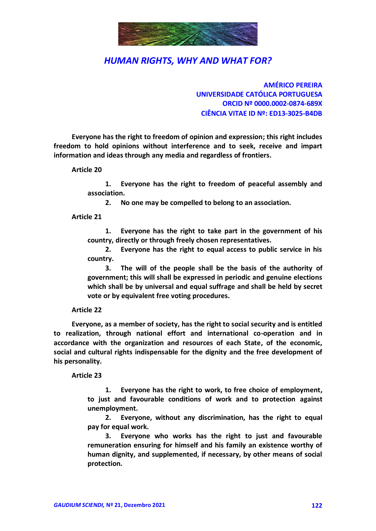

**AMÉRICO PEREIRA UNIVERSIDADE CATÓLICA PORTUGUESA ORCID Nº 0000.0002-0874-689X CIÊNCIA VITAE ID Nº: ED13-3025-B4DB**

**Everyone has the right to freedom of opinion and expression; this right includes freedom to hold opinions without interference and to seek, receive and impart information and ideas through any media and regardless of frontiers.**

**Article 20**

**1. Everyone has the right to freedom of peaceful assembly and association.**

**2. No one may be compelled to belong to an association.**

#### **Article 21**

**1. Everyone has the right to take part in the government of his country, directly or through freely chosen representatives.**

**2. Everyone has the right to equal access to public service in his country.**

**3. The will of the people shall be the basis of the authority of government; this will shall be expressed in periodic and genuine elections which shall be by universal and equal suffrage and shall be held by secret vote or by equivalent free voting procedures.**

**Article 22**

**Everyone, as a member of society, has the right to social security and is entitled to realization, through national effort and international co-operation and in accordance with the organization and resources of each State, of the economic, social and cultural rights indispensable for the dignity and the free development of his personality.**

**Article 23**

**1. Everyone has the right to work, to free choice of employment, to just and favourable conditions of work and to protection against unemployment.**

**2. Everyone, without any discrimination, has the right to equal pay for equal work.**

**3. Everyone who works has the right to just and favourable remuneration ensuring for himself and his family an existence worthy of human dignity, and supplemented, if necessary, by other means of social protection.**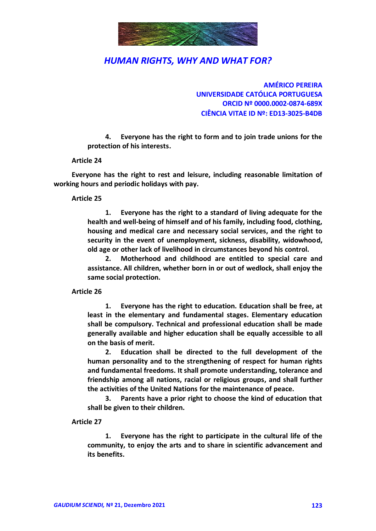

**AMÉRICO PEREIRA UNIVERSIDADE CATÓLICA PORTUGUESA ORCID Nº 0000.0002-0874-689X CIÊNCIA VITAE ID Nº: ED13-3025-B4DB**

**4. Everyone has the right to form and to join trade unions for the protection of his interests.**

#### **Article 24**

**Everyone has the right to rest and leisure, including reasonable limitation of working hours and periodic holidays with pay.**

#### **Article 25**

**1. Everyone has the right to a standard of living adequate for the health and well-being of himself and of his family, including food, clothing, housing and medical care and necessary social services, and the right to security in the event of unemployment, sickness, disability, widowhood, old age or other lack of livelihood in circumstances beyond his control.**

**2. Motherhood and childhood are entitled to special care and assistance. All children, whether born in or out of wedlock, shall enjoy the same social protection.**

#### **Article 26**

**1. Everyone has the right to education. Education shall be free, at least in the elementary and fundamental stages. Elementary education shall be compulsory. Technical and professional education shall be made generally available and higher education shall be equally accessible to all on the basis of merit.**

**2. Education shall be directed to the full development of the human personality and to the strengthening of respect for human rights and fundamental freedoms. It shall promote understanding, tolerance and friendship among all nations, racial or religious groups, and shall further the activities of the United Nations for the maintenance of peace.**

**3. Parents have a prior right to choose the kind of education that shall be given to their children.**

#### **Article 27**

**1. Everyone has the right to participate in the cultural life of the community, to enjoy the arts and to share in scientific advancement and its benefits.**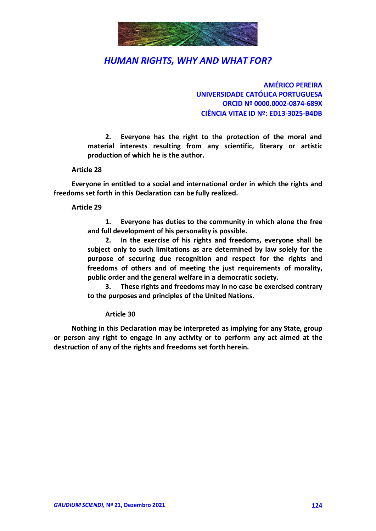

**AMÉRICO PEREIRA UNIVERSIDADE CATÓLICA PORTUGUESA ORCID Nº 0000.0002-0874-689X CIÊNCIA VITAE ID Nº: ED13-3025-B4DB**

**2. Everyone has the right to the protection of the moral and material interests resulting from any scientific, literary or artistic production of which he is the author.**

#### **Article 28**

**Everyone in entitled to a social and international order in which the rights and freedoms set forth in this Declaration can be fully realized.**

#### **Article 29**

**1. Everyone has duties to the community in which alone the free and full development of his personality is possible.**

**2. In the exercise of his rights and freedoms, everyone shall be subject only to such limitations as are determined by law solely for the purpose of securing due recognition and respect for the rights and freedoms of others and of meeting the just requirements of morality, public order and the general welfare in a democratic society.**

**3. These rights and freedoms may in no case be exercised contrary to the purposes and principles of the United Nations.**

#### **Article 30**

**Nothing in this Declaration may be interpreted as implying for any State, group or person any right to engage in any activity or to perform any act aimed at the destruction of any of the rights and freedoms set forth herein.**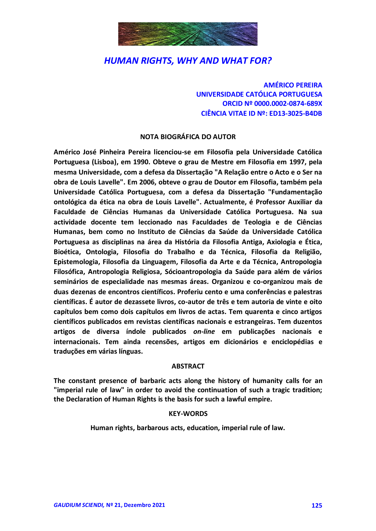

**AMÉRICO PEREIRA UNIVERSIDADE CATÓLICA PORTUGUESA ORCID Nº 0000.0002-0874-689X CIÊNCIA VITAE ID Nº: ED13-3025-B4DB**

#### **NOTA BIOGRÁFICA DO AUTOR**

**Américo José Pinheira Pereira licenciou-se em Filosofia pela Universidade Católica Portuguesa (Lisboa), em 1990. Obteve o grau de Mestre em Filosofia em 1997, pela mesma Universidade, com a defesa da Dissertação "A Relação entre o Acto e o Ser na obra de Louis Lavelle". Em 2006, obteve o grau de Doutor em Filosofia, também pela Universidade Católica Portuguesa, com a defesa da Dissertação "Fundamentação ontológica da ética na obra de Louis Lavelle". Actualmente, é Professor Auxiliar da Faculdade de Ciências Humanas da Universidade Católica Portuguesa. Na sua actividade docente tem leccionado nas Faculdades de Teologia e de Ciências Humanas, bem como no Instituto de Ciências da Saúde da Universidade Católica Portuguesa as disciplinas na área da História da Filosofia Antiga, Axiologia e Ética, Bioética, Ontologia, Filosofia do Trabalho e da Técnica, Filosofia da Religião, Epistemologia, Filosofia da Linguagem, Filosofia da Arte e da Técnica, Antropologia Filosófica, Antropologia Religiosa, Sócioantropologia da Saúde para além de vários seminários de especialidade nas mesmas áreas. Organizou e co-organizou mais de duas dezenas de encontros científicos. Proferiu cento e uma conferências e palestras científicas. É autor de dezassete livros, co-autor de três e tem autoria de vinte e oito capítulos bem como dois capítulos em livros de actas. Tem quarenta e cinco artigos científicos publicados em revistas científicas nacionais e estrangeiras. Tem duzentos artigos de diversa índole publicados** *on-line* **em publicações nacionais e internacionais. Tem ainda recensões, artigos em dicionários e enciclopédias e traduções em várias línguas.**

#### **ABSTRACT**

**The constant presence of barbaric acts along the history of humanity calls for an "imperial rule of law" in order to avoid the continuation of such a tragic tradition; the Declaration of Human Rights is the basis for such a lawful empire.**

#### **KEY-WORDS**

**Human rights, barbarous acts, education, imperial rule of law.**